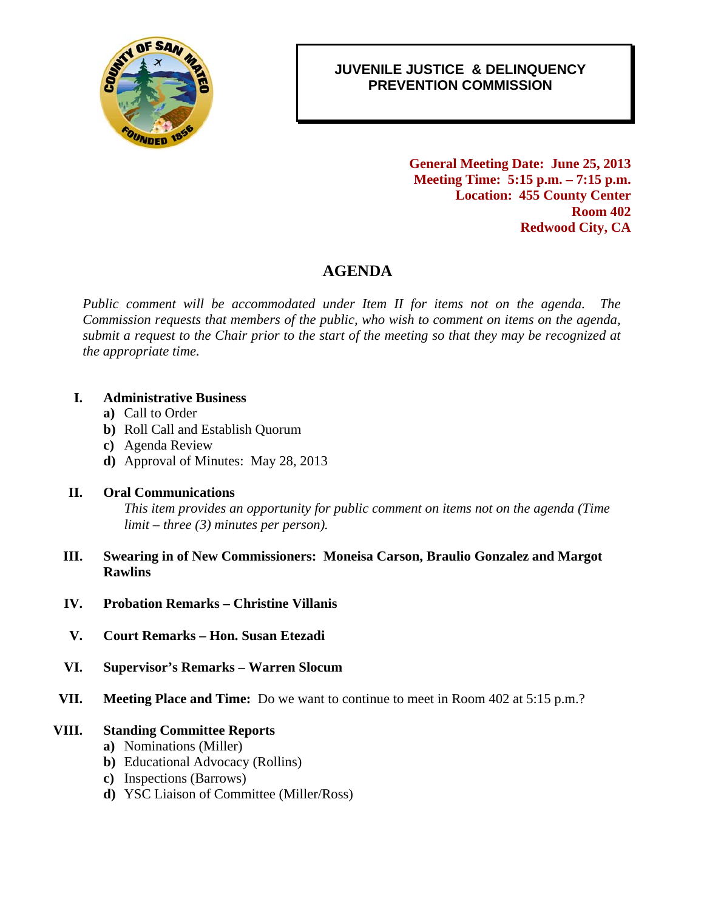

### 0B**JUVENILE JUSTICE & DELINQUENCY PREVENTION COMMISSION**

2B**General Meeting Date: June 25, 2013 Meeting Time: 5:15 p.m. – 7:15 p.m. Location: 455 County Center Room 402 Redwood City, CA** 

## 4B**AGENDA**

*Public comment will be accommodated under Item II for items not on the agenda. The Commission requests that members of the public, who wish to comment on items on the agenda, submit a request to the Chair prior to the start of the meeting so that they may be recognized at the appropriate time.* 

#### **I. Administrative Business**

- **a)** Call to Order
- **b)** Roll Call and Establish Quorum
- **c)** Agenda Review
- **d)** Approval of Minutes: May 28, 2013

#### **II. Oral Communications**

*This item provides an opportunity for public comment on items not on the agenda (Time limit – three (3) minutes per person).* 

- **III. Swearing in of New Commissioners: Moneisa Carson, Braulio Gonzalez and Margot Rawlins**
- **IV. Probation Remarks Christine Villanis**
- **V. Court Remarks Hon. Susan Etezadi**
- **VI. Supervisor's Remarks Warren Slocum**
- **VII. Meeting Place and Time:** Do we want to continue to meet in Room 402 at 5:15 p.m.?

#### **VIII. Standing Committee Reports**

- **a)** Nominations (Miller)
- **b)** Educational Advocacy (Rollins)
- **c)** Inspections (Barrows)
- **d)** YSC Liaison of Committee (Miller/Ross)